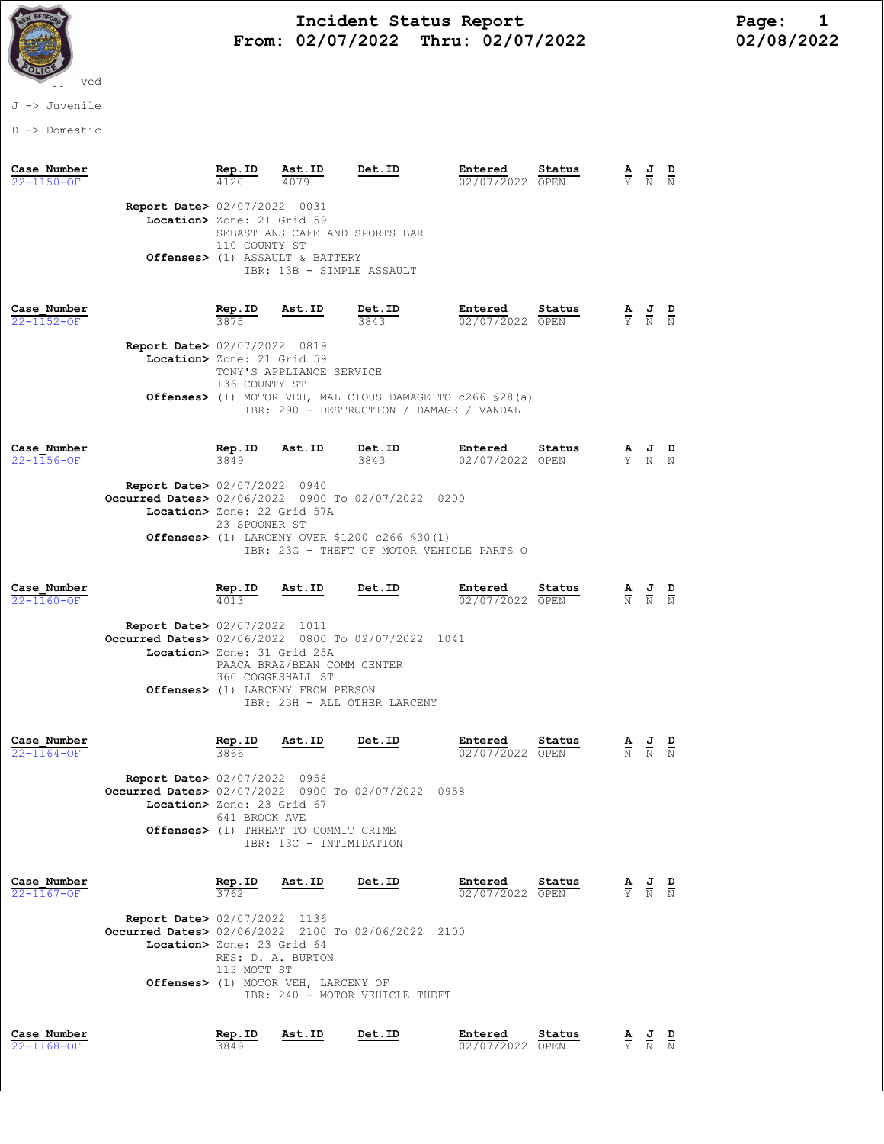

# Incident Status Report<br>02/07/2022 Thru: 02/07/2022 12/08/2022 From: 02/07/2022 Thru: 02/07/2022

## J -> Juvenile

D -> Domestic

| Case Number<br>22-1150-OF       |                                                                                                                             | Rep.ID<br>4120                  | Ast.ID<br>4079                                                                                         | Det.ID                                                                                                                             | Entered<br>02/07/2022 OPEN | Status | $\frac{\mathbf{A}}{\mathbf{Y}}$ $\frac{\mathbf{J}}{\mathbf{N}}$ |                                                                                                 | D                               |
|---------------------------------|-----------------------------------------------------------------------------------------------------------------------------|---------------------------------|--------------------------------------------------------------------------------------------------------|------------------------------------------------------------------------------------------------------------------------------------|----------------------------|--------|-----------------------------------------------------------------|-------------------------------------------------------------------------------------------------|---------------------------------|
|                                 | <b>Report Date&gt; 02/07/2022 0031</b><br>Location> Zone: 21 Grid 59                                                        | 110 COUNTY ST                   | SEBASTIANS CAFE AND SPORTS BAR<br>Offenses> (1) ASSAULT & BATTERY<br>IBR: 13B - SIMPLE ASSAULT         |                                                                                                                                    |                            |        |                                                                 |                                                                                                 |                                 |
| Case Number<br>22-1152-OF       | <b>Report Date&gt; 02/07/2022 0819</b><br>Location> Zone: 21 Grid 59                                                        | Rep.ID<br>136 COUNTY ST         | Ast.ID<br>TONY'S APPLIANCE SERVICE                                                                     | Det.ID<br>3843<br><b>Offenses&gt;</b> (1) MOTOR VEH, MALICIOUS DAMAGE TO c266 \$28(a)<br>IBR: 290 - DESTRUCTION / DAMAGE / VANDALI | Entered<br>02/07/2022 OPEN | Status |                                                                 | $\frac{\mathbf{A}}{\mathbf{Y}}$ $\frac{\mathbf{J}}{\mathbf{N}}$                                 |                                 |
| Case Number<br>$22 - 1156 - OF$ | <b>Report Date&gt; 02/07/2022 0940</b><br>Occurred Dates> 02/06/2022 0900 To 02/07/2022 0200<br>Location> Zone: 22 Grid 57A | Rep.ID<br>3849<br>23 SPOONER ST | Ast.ID                                                                                                 | Det.ID<br>3843<br><b>Offenses&gt;</b> (1) LARCENY OVER \$1200 $c266$ \$30(1)<br>IBR: 23G - THEFT OF MOTOR VEHICLE PARTS O          | Entered<br>02/07/2022 OPEN | Status | $\frac{\mathbf{A}}{\overline{Y}}$                               | $\frac{J}{N}$                                                                                   |                                 |
| Case Number<br>$22 - 1160 - OF$ | <b>Report Date&gt; 02/07/2022 1011</b><br>Occurred Dates> 02/06/2022 0800 To 02/07/2022 1041<br>Location> Zone: 31 Grid 25A | $\frac{\text{Rep. ID}}{4013}$   | <u>Ast.ID</u><br>PAACA BRAZ/BEAN COMM CENTER<br>360 COGGESHALL ST<br>Offenses> (1) LARCENY FROM PERSON | Det.ID<br>IBR: 23H - ALL OTHER LARCENY                                                                                             | Entered<br>02/07/2022 OPEN | Status |                                                                 | $\frac{\mathbf{A}}{\mathbb{N}}$ $\frac{\mathbf{J}}{\mathbb{N}}$ $\frac{\mathbf{D}}{\mathbb{N}}$ |                                 |
| Case Number<br>$22 - 1164 - 0F$ | <b>Report Date&gt; 02/07/2022 0958</b><br>Occurred Dates> 02/07/2022 0900 To 02/07/2022<br>Location> Zone: 23 Grid 67       | Rep.ID<br>3866<br>641 BROCK AVE | Ast.ID<br>Offenses> (1) THREAT TO COMMIT CRIME<br>IBR: 13C - INTIMIDATION                              | Det.ID<br>0958                                                                                                                     | Entered<br>02/07/2022 OPEN | Status | $\frac{\mathbf{A}}{\mathbb{N}}$                                 | $\frac{J}{N}$                                                                                   |                                 |
| Case Number<br>$22 - 1167 - OF$ | Report Date> 02/07/2022 1136<br>Occurred Dates> 02/06/2022 2100 To 02/06/2022 2100<br>Location> Zone: 23 Grid 64            | Rep.ID<br>3762<br>113 MOTT ST   | Ast.ID<br>RES: D. A. BURTON<br>Offenses> (1) MOTOR VEH, LARCENY OF                                     | Det.ID<br>IBR: 240 - MOTOR VEHICLE THEFT                                                                                           | Entered<br>02/07/2022 OPEN | Status |                                                                 | $\frac{\mathbf{A}}{\mathbf{Y}}$ $\frac{\mathbf{J}}{\mathbf{N}}$                                 | $\frac{\mathbf{D}}{\mathbf{N}}$ |
| Case Number<br>22-1168-OF       |                                                                                                                             | Rep.ID<br>3849                  | Ast.ID                                                                                                 | Det.ID                                                                                                                             | Entered<br>02/07/2022 OPEN | Status | $rac{\mathbf{A}}{\mathbf{Y}}$                                   | $\frac{J}{N}$                                                                                   |                                 |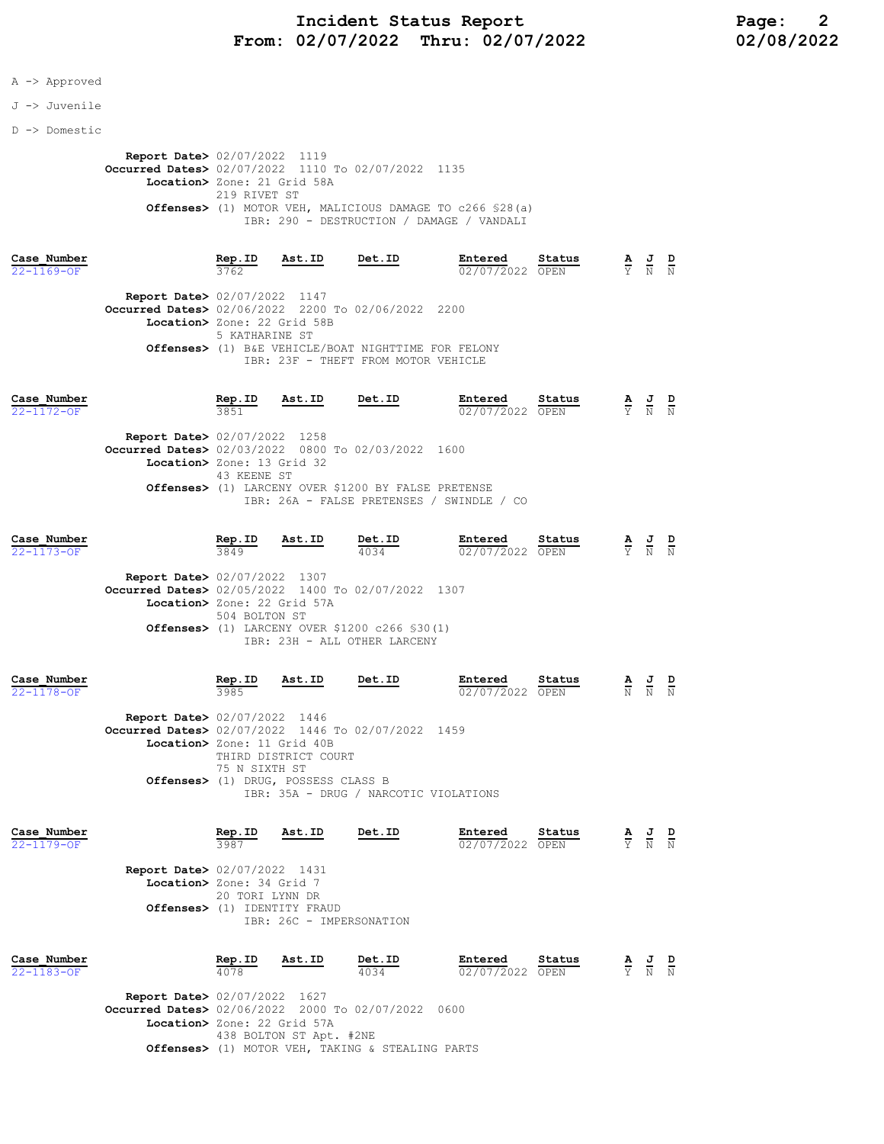## A -> Approved

### J -> Juvenile

D -> Domestic

 Report Date> 02/07/2022 1119 Occurred Dates> 02/07/2022 1110 To 02/07/2022 1135 Location> Zone: 21 Grid 58A 219 RIVET ST Offenses> (1) MOTOR VEH, MALICIOUS DAMAGE TO c266 §28(a) IBR: 290 - DESTRUCTION / DAMAGE / VANDALI

|                  | Case Number |                                                    | Rep.ID         | Ast.ID | Det.ID                                              | Entered         | Status | $\mathbf{A}$ | $\overline{a}$ | D |
|------------------|-------------|----------------------------------------------------|----------------|--------|-----------------------------------------------------|-----------------|--------|--------------|----------------|---|
| $22 - 1169 - 0F$ |             |                                                    | 3762           |        |                                                     | 02/07/2022 OPEN |        |              | Y N N          |   |
|                  |             | <b>Report Date&gt; 02/07/2022 1147</b>             |                |        |                                                     |                 |        |              |                |   |
|                  |             | Occurred Dates> 02/06/2022 2200 To 02/06/2022 2200 |                |        |                                                     |                 |        |              |                |   |
|                  |             | Location> Zone: 22 Grid 58B                        |                |        |                                                     |                 |        |              |                |   |
|                  |             |                                                    | 5 KATHARINE ST |        |                                                     |                 |        |              |                |   |
|                  |             |                                                    |                |        | Offenses> (1) B&E VEHICLE/BOAT NIGHTTIME FOR FELONY |                 |        |              |                |   |
|                  |             |                                                    |                |        | TBR: 23F - THEFT FROM MOTOR VEHICLE                 |                 |        |              |                |   |
|                  |             |                                                    |                |        |                                                     |                 |        |              |                |   |

| Case Number |                                                    | Rep.ID      | Ast.ID | Det.ID                                              | Entered         | Status | $\overline{a}$ | 프     | D |
|-------------|----------------------------------------------------|-------------|--------|-----------------------------------------------------|-----------------|--------|----------------|-------|---|
| 22-1172-OF  |                                                    | 3851        |        |                                                     | 02/07/2022 OPEN |        |                | Y N N |   |
|             | <b>Report Date&gt; 02/07/2022 1258</b>             |             |        |                                                     |                 |        |                |       |   |
|             | Occurred Dates> 02/03/2022 0800 To 02/03/2022 1600 |             |        |                                                     |                 |        |                |       |   |
|             | Location> Zone: 13 Grid 32                         |             |        |                                                     |                 |        |                |       |   |
|             |                                                    | 43 KEENE ST |        |                                                     |                 |        |                |       |   |
|             |                                                    |             |        | Offenses> (1) LARCENY OVER \$1200 BY FALSE PRETENSE |                 |        |                |       |   |
|             |                                                    |             |        | IBR: 26A - FALSE PRETENSES / SWINDLE / CO           |                 |        |                |       |   |
|             |                                                    |             |        |                                                     |                 |        |                |       |   |

| Case Number<br>$22 - 1173 - OF$ |                                                    | Rep.ID<br>3849 | Ast.ID | Det.ID<br>4034                                             | Entered<br>02/07/2022 OPEN | Status | A | J<br>Y N N | D |
|---------------------------------|----------------------------------------------------|----------------|--------|------------------------------------------------------------|----------------------------|--------|---|------------|---|
|                                 | <b>Report Date&gt; 02/07/2022 1307</b>             |                |        |                                                            |                            |        |   |            |   |
|                                 | Occurred Dates> 02/05/2022 1400 To 02/07/2022 1307 |                |        |                                                            |                            |        |   |            |   |
|                                 | Location> Zone: 22 Grid 57A                        |                |        |                                                            |                            |        |   |            |   |
|                                 |                                                    | 504 BOLTON ST  |        | <b>Offenses&gt;</b> (1) LARCENY OVER \$1200 $c266$ \$30(1) |                            |        |   |            |   |
|                                 |                                                    |                |        | IBR: 23H - ALL OTHER LARCENY                               |                            |        |   |            |   |
|                                 |                                                    |                |        |                                                            |                            |        |   |            |   |

| Case Number<br>$22 - 1178 - OF$ |                                                                                                        | Rep.ID<br>3985                               | Ast.ID                                        | Det.ID                                | Entered<br>02/07/2022 | Status<br>OPEN | A<br>$\overline{N}$ | $\frac{J}{N}$ | D<br>$\mathbf N$ |
|---------------------------------|--------------------------------------------------------------------------------------------------------|----------------------------------------------|-----------------------------------------------|---------------------------------------|-----------------------|----------------|---------------------|---------------|------------------|
|                                 | <b>Report Date&gt; 02/07/2022 1446</b><br><b>Occurred Dates&gt;</b> 02/07/2022 1446 To 02/07/2022 1459 |                                              |                                               |                                       |                       |                |                     |               |                  |
|                                 |                                                                                                        | Location> Zone: 11 Grid 40B<br>75 N STXTH ST | THIRD DISTRICT COURT                          |                                       |                       |                |                     |               |                  |
|                                 |                                                                                                        |                                              | <b>Offenses&gt;</b> (1) DRUG, POSSESS CLASS B | IBR: 35A - DRUG / NARCOTIC VIOLATIONS |                       |                |                     |               |                  |
| Case Number<br>$22 - 1179 - OF$ |                                                                                                        | Rep.ID<br>3987                               | Ast.ID                                        | Det.ID                                | Entered<br>02/07/2022 | Status<br>OPEN | A<br>Y              | ੁਹੁ<br>N      | D                |

| <b>Report Date&gt; 02/07/2022</b> 1431 |
|----------------------------------------|
| Location> Zone: 34 Grid 7              |
| 20 TORI LYNN DR                        |
| <b>Offenses&gt;</b> (1) IDENTITY FRAUD |
| TBR: 26C - IMPERSONATION               |

| Case Number<br>$22 - 1183 - OF$ |                                                                                              | Rep.ID<br>4078 | Ast.ID | Det.ID<br>4034 | Entered<br>02/07/2022 OPEN | Status |  | A J D<br>$\overline{Y}$ $\overline{N}$ $\overline{N}$ |  |
|---------------------------------|----------------------------------------------------------------------------------------------|----------------|--------|----------------|----------------------------|--------|--|-------------------------------------------------------|--|
|                                 | <b>Report Date&gt; 02/07/2022 1627</b><br>Occurred Dates> 02/06/2022 2000 To 02/07/2022 0600 |                |        |                |                            |        |  |                                                       |  |

 Location> Zone: 22 Grid 57A 438 BOLTON ST Apt. #2NE Offenses> (1) MOTOR VEH, TAKING & STEALING PARTS